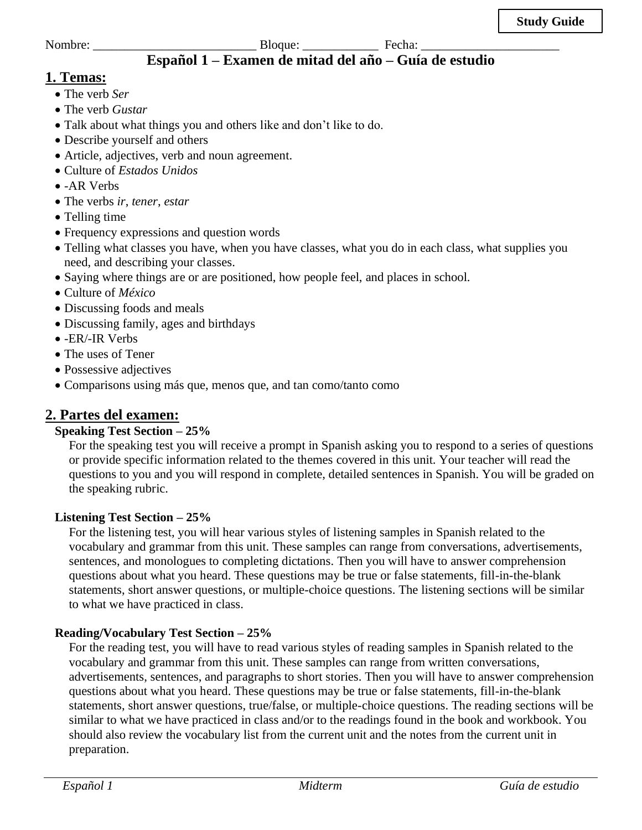# **Español 1 – Examen de mitad del año – Guía de estudio**

# **1. Temas:**

- The verb *Ser*
- The verb *Gustar*
- Talk about what things you and others like and don't like to do.
- Describe yourself and others
- Article, adjectives, verb and noun agreement.
- Culture of *Estados Unidos*
- -AR Verbs
- The verbs *ir*, *tener*, *estar*
- Telling time
- Frequency expressions and question words
- Telling what classes you have, when you have classes, what you do in each class, what supplies you need, and describing your classes.
- Saying where things are or are positioned, how people feel, and places in school.
- Culture of *México*
- Discussing foods and meals
- Discussing family, ages and birthdays
- -ER/-IR Verbs
- The uses of Tener
- Possessive adjectives
- Comparisons using más que, menos que, and tan como/tanto como

# **2. Partes del examen:**

## **Speaking Test Section – 25%**

For the speaking test you will receive a prompt in Spanish asking you to respond to a series of questions or provide specific information related to the themes covered in this unit. Your teacher will read the questions to you and you will respond in complete, detailed sentences in Spanish. You will be graded on the speaking rubric.

### **Listening Test Section – 25%**

For the listening test, you will hear various styles of listening samples in Spanish related to the vocabulary and grammar from this unit. These samples can range from conversations, advertisements, sentences, and monologues to completing dictations. Then you will have to answer comprehension questions about what you heard. These questions may be true or false statements, fill-in-the-blank statements, short answer questions, or multiple-choice questions. The listening sections will be similar to what we have practiced in class.

## **Reading/Vocabulary Test Section – 25%**

For the reading test, you will have to read various styles of reading samples in Spanish related to the vocabulary and grammar from this unit. These samples can range from written conversations, advertisements, sentences, and paragraphs to short stories. Then you will have to answer comprehension questions about what you heard. These questions may be true or false statements, fill-in-the-blank statements, short answer questions, true/false, or multiple-choice questions. The reading sections will be similar to what we have practiced in class and/or to the readings found in the book and workbook. You should also review the vocabulary list from the current unit and the notes from the current unit in preparation.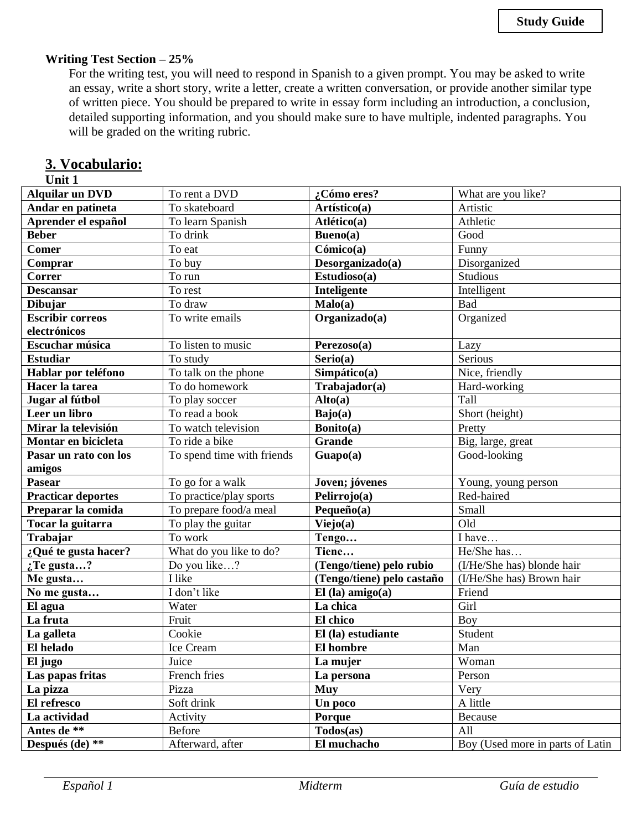#### **Writing Test Section – 25%**

For the writing test, you will need to respond in Spanish to a given prompt. You may be asked to write an essay, write a short story, write a letter, create a written conversation, or provide another similar type of written piece. You should be prepared to write in essay form including an introduction, a conclusion, detailed supporting information, and you should make sure to have multiple, indented paragraphs. You will be graded on the writing rubric.

### **3. Vocabulario:**

### **Unit 1**

| <b>Alquilar un DVD</b>    | To rent a DVD              | ¿Cómo eres?                | What are you like?               |
|---------------------------|----------------------------|----------------------------|----------------------------------|
| Andar en patineta         | To skateboard              | Artístico(a)               | Artistic                         |
| Aprender el español       | To learn Spanish           | Atlético(a)                | Athletic                         |
| <b>Beber</b>              | To drink                   | Bueno(a)                   | Good                             |
| <b>Comer</b>              | To eat                     | Cómico(a)                  | Funny                            |
| Comprar                   | To buy                     | Desorganizado(a)           | Disorganized                     |
| Correr                    | To run                     | Estudioso(a)               | <b>Studious</b>                  |
| <b>Descansar</b>          | To rest                    | Inteligente                | Intelligent                      |
| <b>Dibujar</b>            | To draw                    | Malo(a)                    | Bad                              |
| <b>Escribir correos</b>   | To write emails            | Organizado(a)              | Organized                        |
| electrónicos              |                            |                            |                                  |
| Escuchar música           | To listen to music         | Perezoso(a)                | Lazy                             |
| <b>Estudiar</b>           | To study                   | Serio(a)                   | Serious                          |
| Hablar por teléfono       | To talk on the phone       | Simpático(a)               | Nice, friendly                   |
| Hacer la tarea            | To do homework             | Trabajador(a)              | Hard-working                     |
| Jugar al fútbol           | To play soccer             | Alto(a)                    | Tall                             |
| Leer un libro             | To read a book             | Bajo(a)                    | Short (height)                   |
| Mirar la televisión       | To watch television        | Bonito(a)                  | Pretty                           |
| Montar en bicicleta       | To ride a bike             | <b>Grande</b>              | Big, large, great                |
| Pasar un rato con los     | To spend time with friends | Guapo(a)                   | Good-looking                     |
| amigos                    |                            |                            |                                  |
| Pasear                    | To go for a walk           | Joven; jóvenes             | Young, young person              |
| <b>Practicar deportes</b> | To practice/play sports    | Pelirrojo(a)               | Red-haired                       |
| Preparar la comida        | To prepare food/a meal     | Pequeño $(a)$              | Small                            |
| Tocar la guitarra         | To play the guitar         | Viejo(a)                   | Old                              |
| Trabajar                  | To work                    | Tengo                      | I have                           |
| ¿Qué te gusta hacer?      | What do you like to do?    | Tiene                      | He/She has                       |
| $\mathcal{L}$ Te gusta?   | Do you like?               | (Tengo/tiene) pelo rubio   | (I/He/She has) blonde hair       |
| Me gusta                  | I like                     | (Tengo/tiene) pelo castaño | (I/He/She has) Brown hair        |
| No me gusta               | I don't like               | $El$ (la) amigo(a)         | Friend                           |
| El agua                   | Water                      | La chica                   | Girl                             |
| La fruta                  | Fruit                      | El chico                   | Boy                              |
| La galleta                | Cookie                     | El (la) estudiante         | Student                          |
| El helado                 | Ice Cream                  | El hombre                  | Man                              |
| El jugo                   | Juice                      | La mujer                   | Woman                            |
| Las papas fritas          | French fries               | La persona                 | Person                           |
| La pizza                  | Pizza                      | <b>Muy</b>                 | Very                             |
| El refresco               | Soft drink                 | Un poco                    | A little                         |
| La actividad              | Activity                   | Porque                     | Because                          |
| Antes de **               | Before                     | $\text{Todos}(as)$         | All                              |
| Después $(de)$ **         | Afterward, after           | El muchacho                | Boy (Used more in parts of Latin |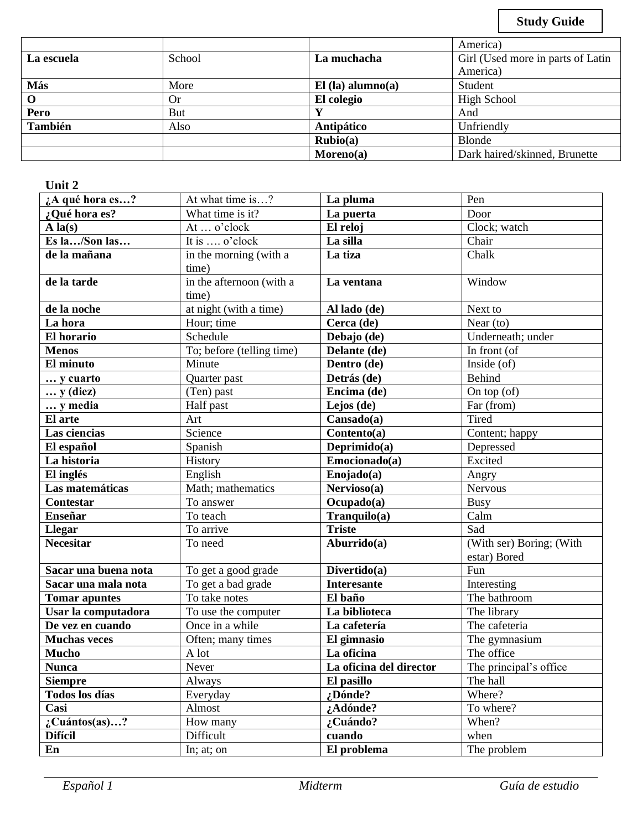**Study Guide**

|            |        |                     | America)                          |
|------------|--------|---------------------|-----------------------------------|
| La escuela | School | La muchacha         | Girl (Used more in parts of Latin |
|            |        |                     | America)                          |
| Más        | More   | $El$ (la) alumno(a) | Student                           |
|            | Or     | El colegio          | <b>High School</b>                |
| Pero       | But    |                     | And                               |
| También    | Also   | Antipático          | Unfriendly                        |
|            |        | $Rubio(a)$          | <b>Blonde</b>                     |
|            |        | Moreno(a)           | Dark haired/skinned, Brunette     |

### **Unit 2**

| ¿A qué hora es?           | At what time is?          | La pluma                 | Pen                      |
|---------------------------|---------------------------|--------------------------|--------------------------|
| ¿Qué hora es?             | What time is it?          | La puerta                | Door                     |
| $A$ la(s)                 | At  o'clock               | El reloj                 | Clock; watch             |
| Es la/Son las             | It is  o'clock            | La silla                 | Chair                    |
| de la mañana              | in the morning (with a    | La tiza                  | Chalk                    |
|                           | time)                     |                          |                          |
| de la tarde               | in the afternoon (with a  | La ventana               | Window                   |
|                           | time)                     |                          |                          |
| de la noche               | at night (with a time)    | Al lado (de)             | Next to                  |
| La hora                   | Hour; time                | Cerca (de)               | Near $(to)$              |
| El horario                | Schedule                  | Debajo (de)              | Underneath; under        |
| <b>Menos</b>              | To; before (telling time) | Delante (de)             | In front (of             |
| El minuto                 | Minute                    | Dentro (de)              | Inside (of)              |
| y cuarto                  | Quarter past              | Detrás (de)              | <b>Behind</b>            |
| $\ldots$ y (diez)         | (Ten) past                | Encima (de)              | On top $(of)$            |
| y media                   | Half past                 | Lejos (de)               | Far (from)               |
| El arte                   | Art                       | Cansado(a)               | Tired                    |
| Las ciencias              | Science                   | $Contento(a)$            | Content; happy           |
| El español                | Spanish                   | Deprimido(a)             | Depressed                |
| La historia               | History                   | Emocionado(a)            | Excited                  |
| El inglés                 | English                   | Enojado(a)               | Angry                    |
| Las matemáticas           | Math; mathematics         | Nervioso(a)              | <b>Nervous</b>           |
| Contestar                 | To answer                 | $\overline{Ocuppado(a)}$ | <b>Busy</b>              |
| <b>Enseñar</b>            | To teach                  | $Tranquilo(a)$           | Calm                     |
| <b>Llegar</b>             | To arrive                 | <b>Triste</b>            | Sad                      |
| <b>Necesitar</b>          | To need                   | $\mathbf{Aburrido(a)}$   | (With ser) Boring; (With |
|                           |                           |                          | estar) Bored             |
| Sacar una buena nota      | To get a good grade       | Divertido(a)             | Fun                      |
| Sacar una mala nota       | To get a bad grade        | <b>Interesante</b>       | Interesting              |
| <b>Tomar apuntes</b>      | To take notes             | El baño                  | The bathroom             |
| Usar la computadora       | To use the computer       | La biblioteca            | The library              |
| De vez en cuando          | Once in a while           | La cafetería             | The cafeteria            |
| <b>Muchas veces</b>       | Often; many times         | El gimnasio              | The gymnasium            |
| <b>Mucho</b>              | A lot                     | La oficina               | The office               |
| <b>Nunca</b>              | Never                     | La oficina del director  | The principal's office   |
| <b>Siempre</b>            | Always                    | El pasillo               | The hall                 |
| <b>Todos</b> los días     | Everyday                  | ¿Dónde?                  | Where?                   |
| Casi                      | Almost                    | ¿Adónde?                 | To where?                |
| $\therefore$ Cuántos(as)? | How many                  | ¿Cuándo?                 | When?                    |
| <b>Difícil</b>            | Difficult                 | cuando                   | when                     |
| En                        | In; at; on                | El problema              | The problem              |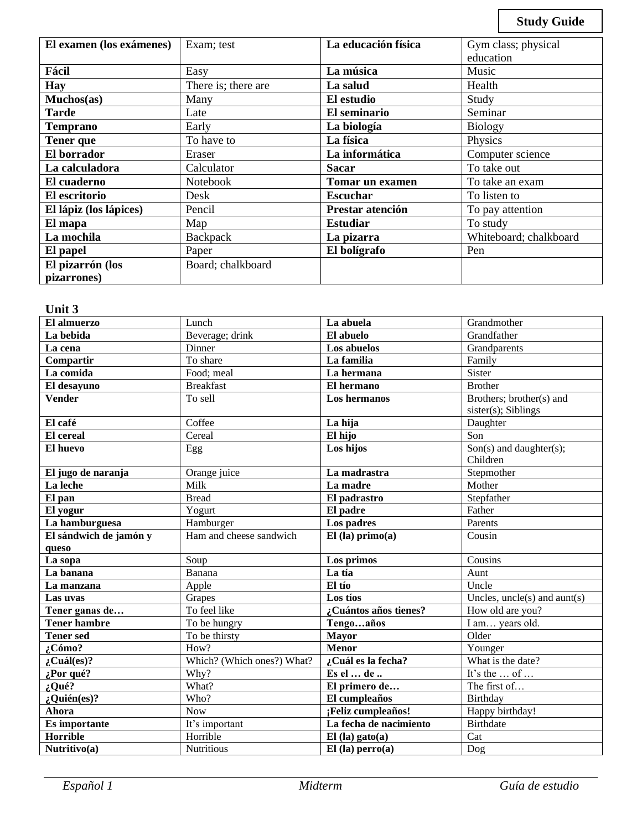**Study Guide**

| El examen (los exámenes) | Exam; test          | La educación física | Gym class; physical    |
|--------------------------|---------------------|---------------------|------------------------|
|                          |                     |                     | education              |
| Fácil                    | Easy                | La música           | Music                  |
| <b>Hay</b>               | There is; there are | La salud            | Health                 |
| Muchos(as)               | Many                | El estudio          | Study                  |
| <b>Tarde</b>             | Late                | El seminario        | Seminar                |
| <b>Temprano</b>          | Early               | La biología         | <b>Biology</b>         |
| <b>Tener</b> que         | To have to          | La física           | Physics                |
| El borrador              | Eraser              | La informática      | Computer science       |
| La calculadora           | Calculator          | <b>Sacar</b>        | To take out            |
| El cuaderno              | <b>Notebook</b>     | Tomar un examen     | To take an exam        |
| El escritorio            | Desk                | <b>Escuchar</b>     | To listen to           |
| El lápiz (los lápices)   | Pencil              | Prestar atención    | To pay attention       |
| El mapa                  | Map                 | <b>Estudiar</b>     | To study               |
| La mochila               | Backpack            | La pizarra          | Whiteboard; chalkboard |
| El papel                 | Paper               | El bolígrafo        | Pen                    |
| El pizarrón (los         | Board; chalkboard   |                     |                        |
| pizarrones)              |                     |                     |                        |

### **Unit 3**

| El almuerzo            | Lunch                      | La abuela              | Grandmother                                        |
|------------------------|----------------------------|------------------------|----------------------------------------------------|
| La bebida              | Beverage; drink            | El abuelo              | Grandfather                                        |
| La cena                | Dinner                     | Los abuelos            | Grandparents                                       |
| Compartir              | To share                   | La familia             | Family                                             |
| La comida              | Food; meal                 | La hermana             | Sister                                             |
| El desayuno            | <b>Breakfast</b>           | El hermano             | <b>Brother</b>                                     |
| <b>Vender</b>          | To sell                    | Los hermanos           | Brothers; brother(s) and<br>$sister(s)$ ; Siblings |
| El café                | Coffee                     | La hija                | Daughter                                           |
| <b>El</b> cereal       | Cereal                     | El hijo                | Son                                                |
| El huevo               | Egg                        | Los hijos              | $\overline{Son(s)}$ and daughter(s);<br>Children   |
| El jugo de naranja     | Orange juice               | La madrastra           | Stepmother                                         |
| La leche               | Milk                       | La madre               | Mother                                             |
| El pan                 | <b>Bread</b>               | El padrastro           | Stepfather                                         |
| El yogur               | Yogurt                     | El padre               | Father                                             |
| La hamburguesa         | Hamburger                  | Los padres             | Parents                                            |
| El sándwich de jamón y | Ham and cheese sandwich    | $El$ (la) primo(a)     | Cousin                                             |
| queso                  |                            |                        |                                                    |
| La sopa                | Soup                       | Los primos             | Cousins                                            |
| La banana              | Banana                     | La tía                 | Aunt                                               |
| La manzana             | Apple                      | El tío                 | Uncle                                              |
| Las uvas               | Grapes                     | Los tíos               | Uncles, $uncle(s)$ and $aunt(s)$                   |
| Tener ganas de         | To feel like               | ¿Cuántos años tienes?  | How old are you?                                   |
| <b>Tener hambre</b>    | To be hungry               | Tengoaños              | I am years old.                                    |
| <b>Tener sed</b>       | To be thirsty              | <b>Mayor</b>           | Older                                              |
| $2^{\degree}$ Cómo?    | How?                       | <b>Menor</b>           | Younger                                            |
| $:$ Cuál(es)?          | Which? (Which ones?) What? | ¿Cuál es la fecha?     | What is the date?                                  |
| ¿Por qué?              | Why?                       | Es el  de              | It's the  of                                       |
| $i$ Qué?               | What?                      | El primero de          | The first of                                       |
| $:$ Quién(es)?         | Who?                       | El cumpleaños          | Birthday                                           |
| Ahora                  | <b>Now</b>                 | :Feliz cumpleaños!     | Happy birthday!                                    |
| Es importante          | It's important             | La fecha de nacimiento | <b>Birthdate</b>                                   |
| <b>Horrible</b>        | Horrible                   | $El$ (la) gato(a)      | Cat                                                |
| Nutritivo(a)           | <b>Nutritious</b>          | $El$ (la) perro(a)     | Dog                                                |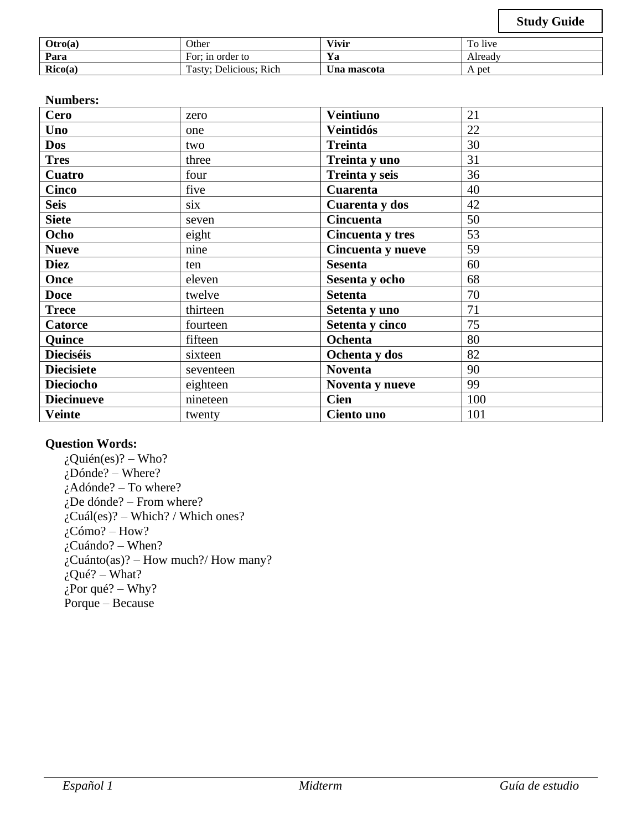| Otro(a) | Other                  | Vivir       | To live |
|---------|------------------------|-------------|---------|
| Para    | For: in order to       | Ya          | Alreadv |
| Rico(a) | Tasty; Delicious; Rich | ∪na mascota | A pet   |

### **Numbers:**

| Cero              | zero      | <b>Veintiuno</b>  | 21  |
|-------------------|-----------|-------------------|-----|
| Uno               | one       | <b>Veintidós</b>  | 22  |
| <b>Dos</b>        | two       | <b>Treinta</b>    | 30  |
| <b>Tres</b>       | three     | Treinta y uno     | 31  |
| <b>Cuatro</b>     | four      | Treinta y seis    | 36  |
| <b>Cinco</b>      | five      | <b>Cuarenta</b>   | 40  |
| <b>Seis</b>       | six       | Cuarenta y dos    | 42  |
| <b>Siete</b>      | seven     | <b>Cincuenta</b>  | 50  |
| Ocho              | eight     | Cincuenta y tres  | 53  |
| <b>Nueve</b>      | nine      | Cincuenta y nueve | 59  |
| <b>Diez</b>       | ten       | <b>Sesenta</b>    | 60  |
| Once              | eleven    | Sesenta y ocho    | 68  |
| <b>Doce</b>       | twelve    | <b>Setenta</b>    | 70  |
| <b>Trece</b>      | thirteen  | Setenta y uno     | 71  |
| <b>Catorce</b>    | fourteen  | Setenta y cinco   | 75  |
| <b>Quince</b>     | fifteen   | Ochenta           | 80  |
| <b>Dieciséis</b>  | sixteen   | Ochenta y dos     | 82  |
| <b>Diecisiete</b> | seventeen | <b>Noventa</b>    | 90  |
| <b>Dieciocho</b>  | eighteen  | Noventa y nueve   | 99  |
| <b>Diecinueve</b> | nineteen  | <b>Cien</b>       | 100 |
| <b>Veinte</b>     | twenty    | Ciento uno        | 101 |

#### **Question Words:**

 $i$ Quién(es)? – Who?  $i$ Dónde? – Where? ¿Adónde? – To where? ¿De dónde? – From where?  $i$ Cuál(es)? – Which? / Which ones?  $i$ Cómo? – How?  $\tilde{C}$ Cuándo? – When?  $\zeta$ Cuánto(as)? – How much?/ How many?  $i$ Qué? – What?  $\zeta$ Por qué? – Why? Porque – Because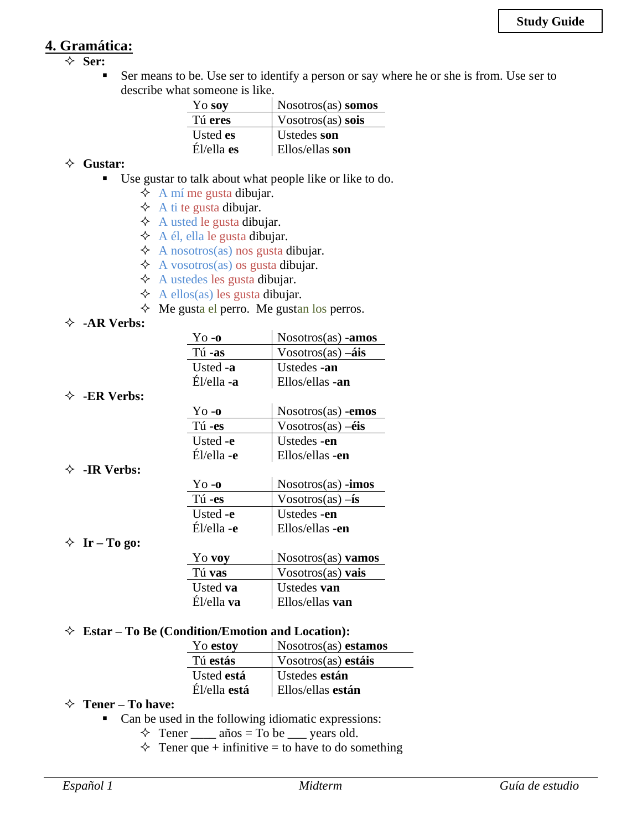## **4. Gramática:**

- **Ser:**
	- Ser means to be. Use ser to identify a person or say where he or she is from. Use ser to describe what someone is like.

| Yo soy        | $N$ osotros $(as)$ somos |
|---------------|--------------------------|
| Tú eres       | $V$ osotros $(as)$ sois  |
| Usted es      | Ustedes son              |
| $E1$ /ella es | <b>Ellos/ellas son</b>   |

#### **Gustar:**

- Use gustar to talk about what people like or like to do.
	- $\Diamond$  A mí me gusta dibujar.
	- $\triangle$  A ti te gusta dibujar.
	- $\triangle$  A usted le gusta dibujar.
	- $\triangle$  A él, ella le gusta dibujar.
	- $\triangle$  A nosotros(as) nos gusta dibujar.
	- $\triangle$  A vosotros(as) os gusta dibujar.
	- $\triangle$  A ustedes les gusta dibujar.
	- $\triangle$  A ellos(as) les gusta dibujar.
	- $\Diamond$  Me gusta el perro. Me gustan los perros.

#### **-AR Verbs:**

**-ER Verbs:**

| $\gamma$ o -o | $N$ osotros $(as)$ -amos        |
|---------------|---------------------------------|
| Tú-as         | $V$ osotros(as) $-\hat{a}$ is   |
| Usted -a      | Ustedes -an                     |
| Él/ella -a    | Ellos/ellas -an                 |
|               |                                 |
| $Y_0 - 0$     | $N$ osotros $(as)$ -emos        |
| Tú-es         | $V$ osotros(as) $-\acute{e}$ is |
| Usted -e      | Ustedes -en                     |
| Él/ella -e    | Ellos/ellas -en                 |
|               |                                 |
| $Y0$ -0       | $N$ osotros $(as)$ -imos        |
| Tú-es         | $V$ osotros(as) $-\mathbf{is}$  |
| Usted -e      | Ustedes -en                     |
| Él/ella -e    | Ellos/ellas -en                 |
|               |                                 |
|               | $\mathbf{M}$ $\mathbf{M}$       |

 $\diamond$  **Ir** – **To go:** 

**-IR Verbs:**

| Yo voy          | $N$ osotros $(as)$ vamos |
|-----------------|--------------------------|
| Tú vas          | Vosotros $(as)$ vais     |
| Usted <b>va</b> | Ustedes van              |
| Él/ella va      | Ellos/ellas van          |

#### **Estar – To Be (Condition/Emotion and Location):**

| Yo estoy     | Nosotros(as) estamos |
|--------------|----------------------|
| Tú estás     | Vosotros(as) estáis  |
| Usted está   | Ustedes están        |
| Él/ella está | Ellos/ellas están    |

#### **Tener – To have:**

- Can be used in the following idiomatic expressions:
	- $\Diamond$  Tener \_\_\_\_\_ años = To be \_\_\_\_ years old.
	- $\Diamond$  Tener que + infinitive = to have to do something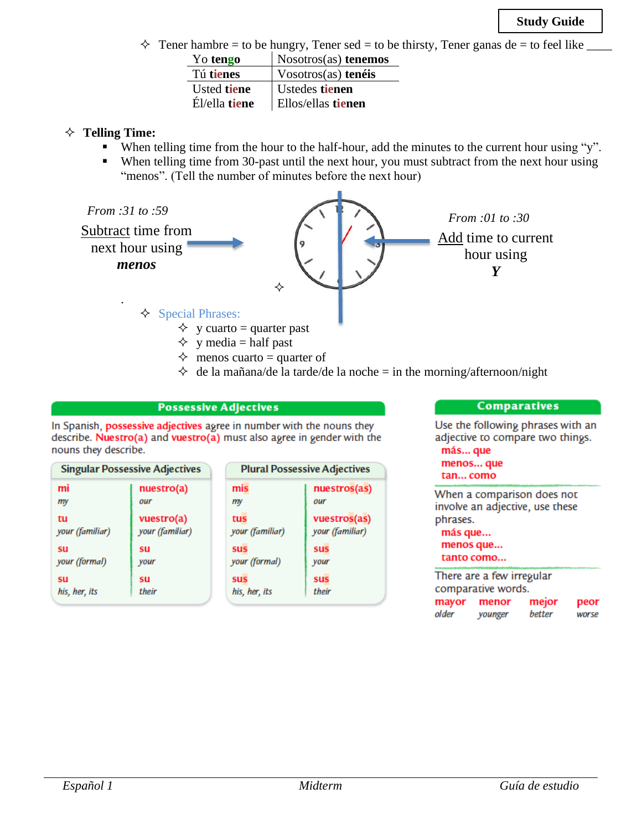$\Diamond$  Tener hambre = to be hungry, Tener sed = to be thirsty, Tener ganas de = to feel like

| Yo tengo      | Nosotros(as) tenemos      |
|---------------|---------------------------|
| Tú tienes     | $V$ osotros $(as)$ tenéis |
| Usted tiene   | Ustedes tienen            |
| Él/ella tiene | Ellos/ellas tienen        |

#### **Telling Time:**

- When telling time from the hour to the half-hour, add the minutes to the current hour using "y".
- When telling time from 30-past until the next hour, you must subtract from the next hour using "menos". (Tell the number of minutes before the next hour)



- $\Diamond$  y media = half past
	-
- $\Diamond$  menos cuarto = quarter of
- $\Diamond$  de la mañana/de la tarde/de la noche = in the morning/afternoon/night

#### **Possessive Adjectives**

In Spanish, possessive adjectives agree in number with the nouns they describe. Nuestro(a) and vuestro(a) must also agree in gender with the nouns they describe.

| <b>Singular Possessive Adjectives</b> |                 | <b>Plural Possessive Adjectives</b> |                 |
|---------------------------------------|-----------------|-------------------------------------|-----------------|
| mi                                    | nuestro(a)      | mis                                 | nuestros(as)    |
| my                                    | our             | my                                  | our             |
| tu                                    | vuestro(a)      | tus                                 | vuestros(as)    |
| your (familiar)                       | your (familiar) | your (familiar)                     | your (familiar) |
| <b>SU</b>                             | su              | <b>SUS</b>                          | sus             |
| your (formal)                         | your            | your (formal)                       | your            |
| su                                    | su              | <b>SUS</b>                          | <b>sus</b>      |
| his, her, its                         | their           | his, her, its                       | their           |

#### **Comparatives**

Use the following phrases with an adjective to compare two things. más... que

#### menos... que tan... como

When a comparison does not involve an adjective, use these phrases. más que... menos que... tanto como... ÷

|       | There are a few irregular |        |       |
|-------|---------------------------|--------|-------|
|       | comparative words.        |        |       |
|       | mayor menor               | mejor  | peor  |
| older | younger                   | better | worse |